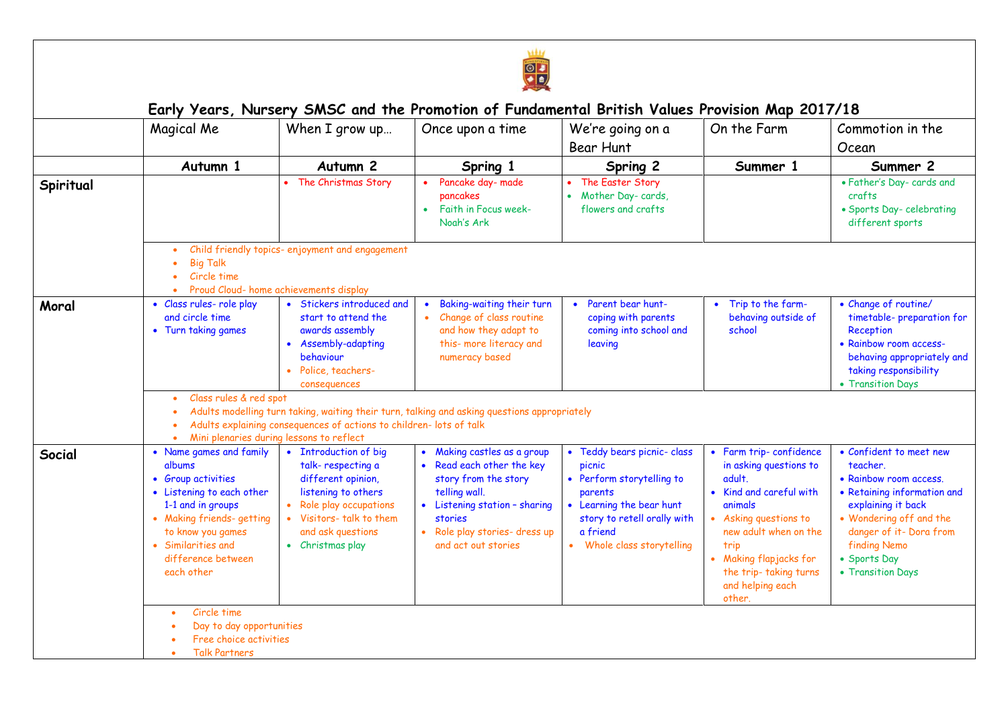

|           | Magical Me                                                                                                                                                                                                            | When I grow up                                                                                                                                                                                                                            | Once upon a time                                                                                                                                                                                    | We're going on a<br>Bear Hunt                                                                                                                                                      | On the Farm                                                                                                                                                                                                                                  | Commotion in the<br>Ocean                                                                                                                                                                                                            |  |  |  |
|-----------|-----------------------------------------------------------------------------------------------------------------------------------------------------------------------------------------------------------------------|-------------------------------------------------------------------------------------------------------------------------------------------------------------------------------------------------------------------------------------------|-----------------------------------------------------------------------------------------------------------------------------------------------------------------------------------------------------|------------------------------------------------------------------------------------------------------------------------------------------------------------------------------------|----------------------------------------------------------------------------------------------------------------------------------------------------------------------------------------------------------------------------------------------|--------------------------------------------------------------------------------------------------------------------------------------------------------------------------------------------------------------------------------------|--|--|--|
|           | Autumn 1                                                                                                                                                                                                              | Autumn <sub>2</sub>                                                                                                                                                                                                                       | Spring 1                                                                                                                                                                                            | Spring 2                                                                                                                                                                           | Summer 1                                                                                                                                                                                                                                     | Summer 2                                                                                                                                                                                                                             |  |  |  |
| Spiritual |                                                                                                                                                                                                                       | • The Christmas Story                                                                                                                                                                                                                     | Pancake day- made<br>pancakes<br>Faith in Focus week-<br>$\bullet$<br>Noah's Ark                                                                                                                    | The Easter Story<br>• Mother Day-cards,<br>flowers and crafts                                                                                                                      |                                                                                                                                                                                                                                              | • Father's Day- cards and<br>crafts<br>• Sports Day-celebrating<br>different sports                                                                                                                                                  |  |  |  |
|           | <b>Big Talk</b><br>Circle time                                                                                                                                                                                        | Child friendly topics- enjoyment and engagement<br>Proud Cloud- home achievements display                                                                                                                                                 |                                                                                                                                                                                                     |                                                                                                                                                                                    |                                                                                                                                                                                                                                              |                                                                                                                                                                                                                                      |  |  |  |
| Moral     | • Class rules- role play<br>and circle time<br>• Turn taking games                                                                                                                                                    | • Stickers introduced and<br>start to attend the<br>awards assembly<br>• Assembly-adapting<br>behaviour<br>• Police, teachers-<br>consequences                                                                                            | Baking-waiting their turn<br>Change of class routine<br>$\bullet$<br>and how they adapt to<br>this- more literacy and<br>numeracy based                                                             | • Parent bear hunt-<br>coping with parents<br>coming into school and<br>leaving                                                                                                    | • Trip to the farm-<br>behaving outside of<br>school                                                                                                                                                                                         | • Change of routine/<br>timetable-preparation for<br>Reception<br>• Rainbow room access-<br>behaving appropriately and<br>taking responsibility<br>• Transition Days                                                                 |  |  |  |
|           | $\bullet$                                                                                                                                                                                                             | Class rules & red spot<br>Adults modelling turn taking, waiting their turn, talking and asking questions appropriately<br>Adults explaining consequences of actions to children- lots of talk<br>Mini plenaries during lessons to reflect |                                                                                                                                                                                                     |                                                                                                                                                                                    |                                                                                                                                                                                                                                              |                                                                                                                                                                                                                                      |  |  |  |
| Social    | • Name games and family<br>albums<br>• Group activities<br>• Listening to each other<br>1-1 and in groups<br>• Making friends- getting<br>to know you games<br>• Similarities and<br>difference between<br>each other | • Introduction of big<br>talk-respecting a<br>different opinion,<br>listening to others<br>Role play occupations<br>• Visitors- talk to them<br>and ask questions<br>• Christmas play                                                     | Making castles as a group<br>• Read each other the key<br>story from the story<br>telling wall.<br>• Listening station - sharing<br>stories<br>• Role play stories- dress up<br>and act out stories | • Teddy bears picnic- class<br>picnic<br>• Perform storytelling to<br>parents<br>• Learning the bear hunt<br>story to retell orally with<br>a friend<br>• Whole class storytelling | • Farm trip-confidence<br>in asking questions to<br>adult.<br>• Kind and careful with<br>animals<br>• Asking questions to<br>new adult when on the<br>trip<br>• Making flapjacks for<br>the trip- taking turns<br>and helping each<br>other. | • Confident to meet new<br>teacher.<br>• Rainbow room access.<br>• Retaining information and<br>explaining it back<br>• Wondering off and the<br>danger of it- Dora from<br><b>finding Nemo</b><br>• Sports Day<br>• Transition Days |  |  |  |
|           | Circle time<br>$\bullet$<br>Day to day opportunities<br>Free choice activities<br><b>Talk Partners</b><br>$\bullet$                                                                                                   |                                                                                                                                                                                                                                           |                                                                                                                                                                                                     |                                                                                                                                                                                    |                                                                                                                                                                                                                                              |                                                                                                                                                                                                                                      |  |  |  |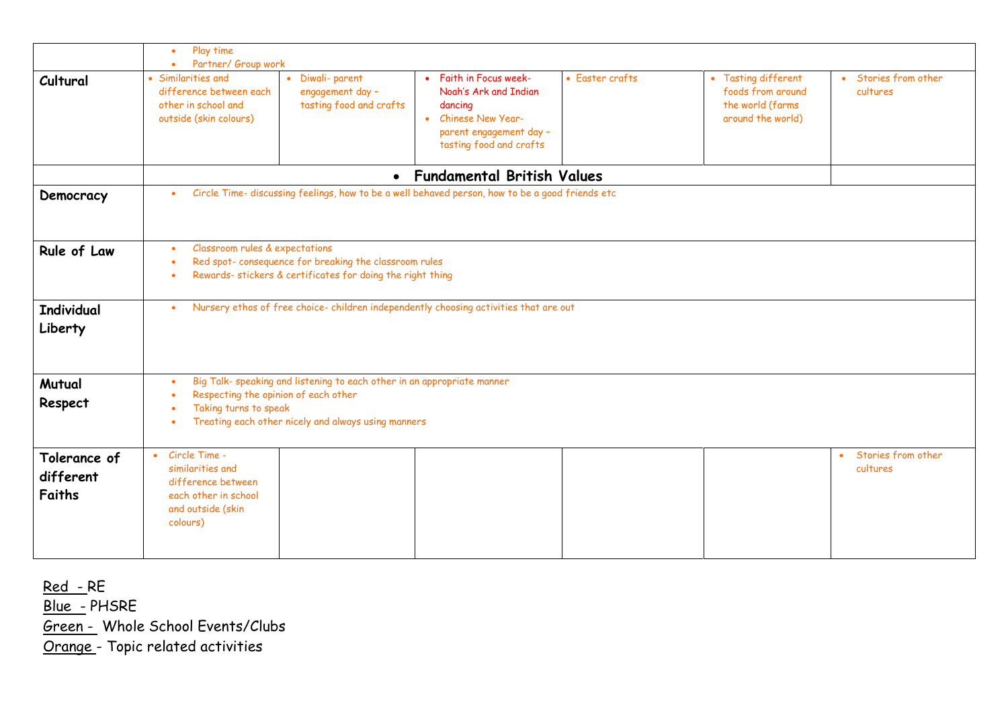|                                     | Play time<br>$\bullet$                                                                                                                                                                                            |                                                                |                                                                                                                                                    |                 |                                                                                   |                                             |  |  |
|-------------------------------------|-------------------------------------------------------------------------------------------------------------------------------------------------------------------------------------------------------------------|----------------------------------------------------------------|----------------------------------------------------------------------------------------------------------------------------------------------------|-----------------|-----------------------------------------------------------------------------------|---------------------------------------------|--|--|
| Cultural                            | Partner/ Group work<br>$\bullet$<br>• Similarities and<br>difference between each<br>other in school and<br>outside (skin colours)                                                                                | • Diwali-parent<br>engagement day -<br>tasting food and crafts | • Faith in Focus week-<br>Noah's Ark and Indian<br>dancing<br>Chinese New Year-<br>$\bullet$<br>parent engagement day -<br>tasting food and crafts | • Easter crafts | • Tasting different<br>foods from around<br>the world (farms<br>around the world) | • Stories from other<br>cultures            |  |  |
|                                     |                                                                                                                                                                                                                   |                                                                | • Fundamental British Values                                                                                                                       |                 |                                                                                   |                                             |  |  |
| Democracy                           | Circle Time- discussing feelings, how to be a well behaved person, how to be a good friends etc<br>$\bullet$                                                                                                      |                                                                |                                                                                                                                                    |                 |                                                                                   |                                             |  |  |
| Rule of Law                         | Classroom rules & expectations<br>$\bullet$<br>Red spot- consequence for breaking the classroom rules<br>$\bullet$<br>Rewards- stickers & certificates for doing the right thing<br>$\bullet$                     |                                                                |                                                                                                                                                    |                 |                                                                                   |                                             |  |  |
| <b>Individual</b><br>Liberty        | $\bullet$                                                                                                                                                                                                         |                                                                | Nursery ethos of free choice-children independently choosing activities that are out                                                               |                 |                                                                                   |                                             |  |  |
| Mutual<br>Respect                   | Big Talk- speaking and listening to each other in an appropriate manner<br>$\bullet$<br>Respecting the opinion of each other<br>Taking turns to speak<br>Treating each other nicely and always using manners<br>٠ |                                                                |                                                                                                                                                    |                 |                                                                                   |                                             |  |  |
| Tolerance of<br>different<br>Faiths | Circle Time -<br>$\bullet$<br>similarities and<br>difference between<br>each other in school<br>and outside (skin<br>colours)                                                                                     |                                                                |                                                                                                                                                    |                 |                                                                                   | Stories from other<br>$\bullet$<br>cultures |  |  |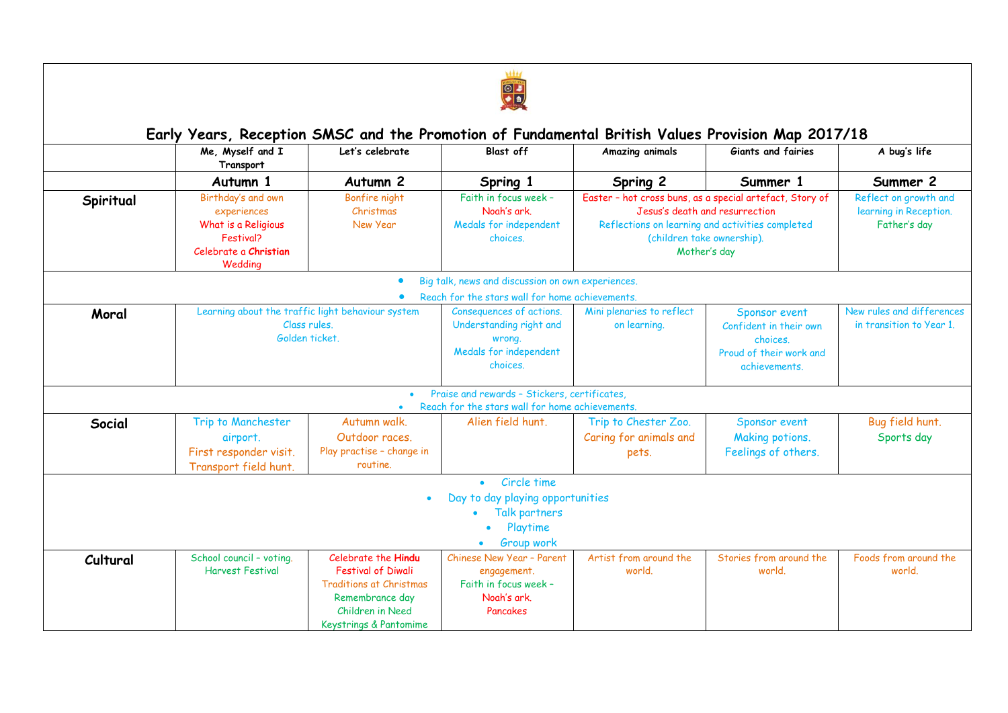

|           | Me, Myself and I<br>Transport                                                                             | Let's celebrate                                                                                                                                     | <b>Blast off</b>                                                                                    | Amazing animals                                                                                                                                                                              | Giants and fairies                                                                              | A bug's life                                                    |
|-----------|-----------------------------------------------------------------------------------------------------------|-----------------------------------------------------------------------------------------------------------------------------------------------------|-----------------------------------------------------------------------------------------------------|----------------------------------------------------------------------------------------------------------------------------------------------------------------------------------------------|-------------------------------------------------------------------------------------------------|-----------------------------------------------------------------|
|           | Autumn 1                                                                                                  | Autumn <sub>2</sub><br>Spring 1                                                                                                                     |                                                                                                     | Spring 2                                                                                                                                                                                     | Summer 1                                                                                        | Summer 2                                                        |
| Spiritual | Birthday's and own<br>experiences<br>What is a Religious<br>Festival?<br>Celebrate a Christian<br>Weddina | Bonfire night<br>Christmas<br>New Year                                                                                                              | Faith in focus week -<br>Noah's ark.<br>Medals for independent<br>choices.                          | Easter - hot cross buns, as a special artefact, Story of<br>Jesus's death and resurrection<br>Reflections on learning and activities completed<br>(children take ownership).<br>Mother's day |                                                                                                 | Reflect on growth and<br>learning in Reception.<br>Father's day |
|           |                                                                                                           |                                                                                                                                                     | Big talk, news and discussion on own experiences.                                                   |                                                                                                                                                                                              |                                                                                                 |                                                                 |
|           |                                                                                                           |                                                                                                                                                     | Reach for the stars wall for home achievements.                                                     |                                                                                                                                                                                              |                                                                                                 |                                                                 |
| Moral     | Learning about the traffic light behaviour system<br>Class rules.<br>Golden ticket.                       |                                                                                                                                                     | Consequences of actions.<br>Understanding right and<br>wrong.<br>Medals for independent<br>choices. | Mini plenaries to reflect<br>on learning.                                                                                                                                                    | Sponsor event<br>Confident in their own<br>choices.<br>Proud of their work and<br>achievements. | New rules and differences<br>in transition to Year 1.           |
|           |                                                                                                           |                                                                                                                                                     | Praise and rewards - Stickers, certificates,                                                        |                                                                                                                                                                                              |                                                                                                 |                                                                 |
|           |                                                                                                           |                                                                                                                                                     | Reach for the stars wall for home achievements.                                                     |                                                                                                                                                                                              |                                                                                                 |                                                                 |
| Social    | Trip to Manchester<br>airport.<br>First responder visit.<br>Transport field hunt.                         | Autumn walk.<br>Outdoor races.<br>Play practise - change in<br>routine.                                                                             | Alien field hunt.                                                                                   | Trip to Chester Zoo.<br>Caring for animals and<br>pets.                                                                                                                                      | Sponsor event<br>Making potions.<br>Feelings of others.                                         | Bug field hunt.<br>Sports day                                   |
|           |                                                                                                           |                                                                                                                                                     | Circle time<br>$\bullet$                                                                            |                                                                                                                                                                                              |                                                                                                 |                                                                 |
|           |                                                                                                           |                                                                                                                                                     | Day to day playing opportunities<br>Talk partners<br>Playtime<br>Group work                         |                                                                                                                                                                                              |                                                                                                 |                                                                 |
| Cultural  | School council - voting.<br><b>Harvest Festival</b>                                                       | Celebrate the Hindu<br><b>Festival of Diwali</b><br><b>Traditions at Christmas</b><br>Remembrance day<br>Children in Need<br>Keystrings & Pantomime | Chinese New Year - Parent<br>engagement.<br>Faith in focus week -<br>Noah's ark.<br>Pancakes        | Artist from around the<br>world.                                                                                                                                                             | Stories from around the<br>world.                                                               | Foods from around the<br>world.                                 |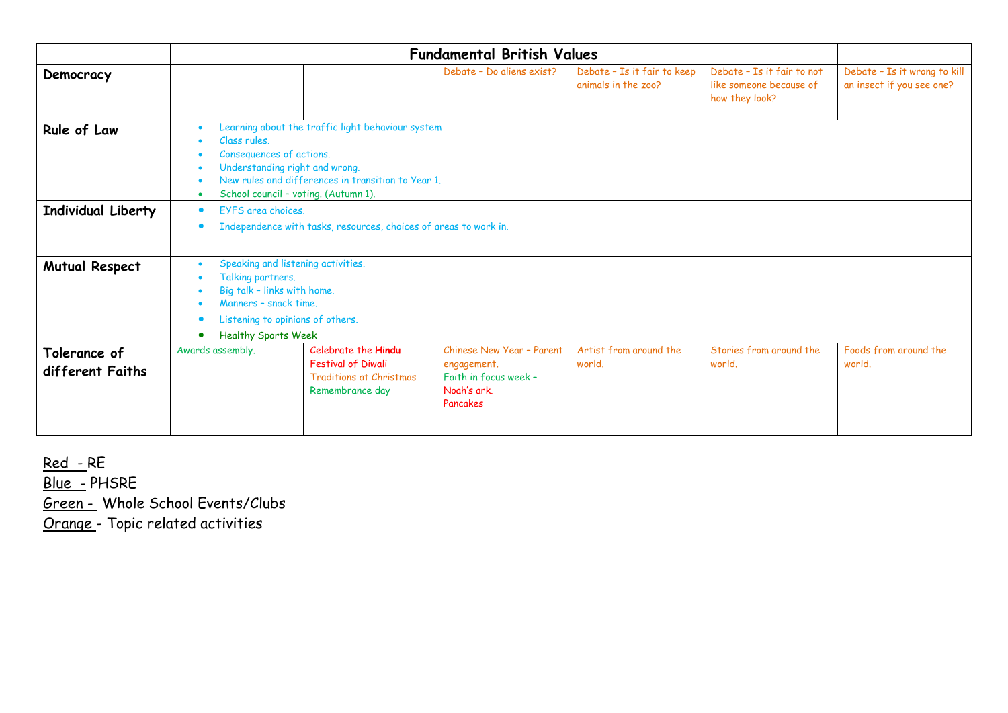|                                  | <b>Fundamental British Values</b>                                                                                                                                                                                                          |                                                                                                       |                                                                                              |                                                    |                                                                         |                                                           |
|----------------------------------|--------------------------------------------------------------------------------------------------------------------------------------------------------------------------------------------------------------------------------------------|-------------------------------------------------------------------------------------------------------|----------------------------------------------------------------------------------------------|----------------------------------------------------|-------------------------------------------------------------------------|-----------------------------------------------------------|
| Democracy                        |                                                                                                                                                                                                                                            |                                                                                                       | Debate - Do aliens exist?                                                                    | Debate - Is it fair to keep<br>animals in the zoo? | Debate - Is it fair to not<br>like someone because of<br>how they look? | Debate - Is it wrong to kill<br>an insect if you see one? |
| Rule of Law                      | Learning about the traffic light behaviour system<br>Class rules.<br>Consequences of actions.<br>Understanding right and wrong.<br>New rules and differences in transition to Year 1.<br>School council - voting. (Autumn 1).<br>$\bullet$ |                                                                                                       |                                                                                              |                                                    |                                                                         |                                                           |
| <b>Individual Liberty</b>        | EYFS area choices.<br>$\bullet$<br>Independence with tasks, resources, choices of areas to work in.<br>$\bullet$                                                                                                                           |                                                                                                       |                                                                                              |                                                    |                                                                         |                                                           |
| <b>Mutual Respect</b>            | Speaking and listening activities.<br>Talking partners.<br>Big talk - links with home.<br>Manners - snack time.<br>Listening to opinions of others.<br><b>Healthy Sports Week</b>                                                          |                                                                                                       |                                                                                              |                                                    |                                                                         |                                                           |
| Tolerance of<br>different Faiths | Awards assembly.                                                                                                                                                                                                                           | Celebrate the Hindu<br><b>Festival of Diwali</b><br><b>Traditions at Christmas</b><br>Remembrance day | Chinese New Year - Parent<br>engagement.<br>Faith in focus week -<br>Noah's ark.<br>Pancakes | Artist from around the<br>world.                   | Stories from around the<br>world.                                       | Foods from around the<br>world.                           |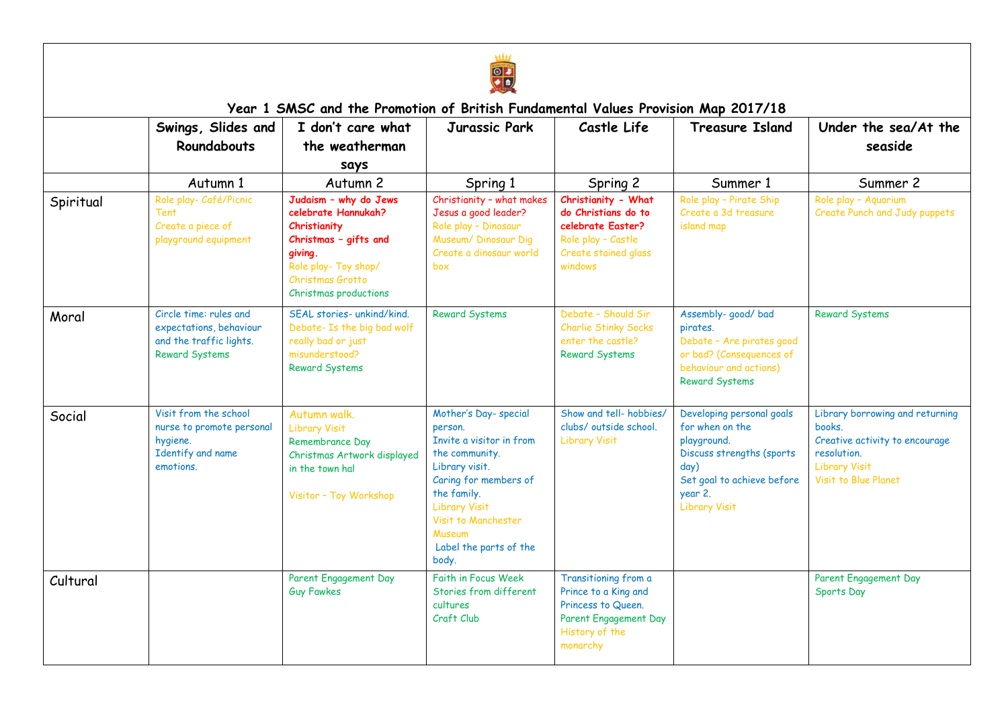

|           | Swings, Slides and<br><b>Roundabouts</b>                                                              | I don't care what<br>the weatherman<br>says                                                                                                                           | Jurassic Park                                                                                                                                                                                                                              | Castle Life                                                                                                               | <b>Treasure Island</b>                                                                                                                                            | Under the sea/At the<br>seaside                                                                                                            |
|-----------|-------------------------------------------------------------------------------------------------------|-----------------------------------------------------------------------------------------------------------------------------------------------------------------------|--------------------------------------------------------------------------------------------------------------------------------------------------------------------------------------------------------------------------------------------|---------------------------------------------------------------------------------------------------------------------------|-------------------------------------------------------------------------------------------------------------------------------------------------------------------|--------------------------------------------------------------------------------------------------------------------------------------------|
|           | Autumn 1                                                                                              | Autumn 2                                                                                                                                                              | Spring 1                                                                                                                                                                                                                                   | Spring 2                                                                                                                  | Summer 1                                                                                                                                                          | Summer 2                                                                                                                                   |
| Spiritual | Role play- Café/Picnic<br><b>Tent</b><br>Create a piece of<br>playground equipment                    | Judaism - why do Jews<br>celebrate Hannukah?<br>Christianity<br>Christmas - gifts and<br>giving.<br>Role play- Toy shop/<br>Christmas Grotto<br>Christmas productions | Christianity - what makes<br>Jesus a good leader?<br>Role play - Dinosaur<br>Museum/ Dinosaur Dig<br>Create a dinosaur world<br>box                                                                                                        | Christianity - What<br>do Christians do to<br>celebrate Easter?<br>Role play - Castle<br>Create stained glass<br>windows  | Role play - Pirate Ship<br>Create a 3d treasure<br>island map                                                                                                     | Role play - Aquarium<br>Create Punch and Judy puppets                                                                                      |
| Moral     | Circle time: rules and<br>expectations, behaviour<br>and the traffic lights.<br><b>Reward Systems</b> | SEAL stories- unkind/kind.<br>Debate- Is the big bad wolf<br>really bad or just<br>misunderstood?<br><b>Reward Systems</b>                                            | <b>Reward Systems</b>                                                                                                                                                                                                                      | Debate - Should Sir<br><b>Charlie Stinky Socks</b><br>enter the castle?<br><b>Reward Systems</b>                          | Assembly- good/ bad<br>pirates.<br>Debate - Are pirates good<br>or bad? (Consequences of<br>behaviour and actions)<br><b>Reward Systems</b>                       | <b>Reward Systems</b>                                                                                                                      |
| Social    | Visit from the school<br>nurse to promote personal<br>hygiene.<br>Identify and name<br>emotions.      | Autumn walk.<br><b>Library Visit</b><br>Remembrance Day<br>Christmas Artwork displayed<br>in the town hal<br>Visitor - Toy Workshop                                   | Mother's Day-special<br>person.<br>Invite a visitor in from<br>the community.<br>Library visit.<br>Caring for members of<br>the family.<br><b>Library Visit</b><br>Visit to Manchester<br><b>Museum</b><br>Label the parts of the<br>body. | Show and tell-hobbies/<br>clubs/ outside school.<br><b>Library Visit</b>                                                  | Developing personal goals<br>for when on the<br>playground.<br>Discuss strengths (sports<br>day)<br>Set goal to achieve before<br>year 2.<br><b>Library Visit</b> | Library borrowing and returning<br>books.<br>Creative activity to encourage<br>resolution.<br><b>Library Visit</b><br>Visit to Blue Planet |
| Cultural  |                                                                                                       | Parent Engagement Day<br><b>Guy Fawkes</b>                                                                                                                            | Faith in Focus Week<br>Stories from different<br>cultures<br>Craft Club                                                                                                                                                                    | Transitioning from a<br>Prince to a King and<br>Princess to Queen.<br>Parent Engagement Day<br>History of the<br>monarchy |                                                                                                                                                                   | Parent Engagement Day<br>Sports Day                                                                                                        |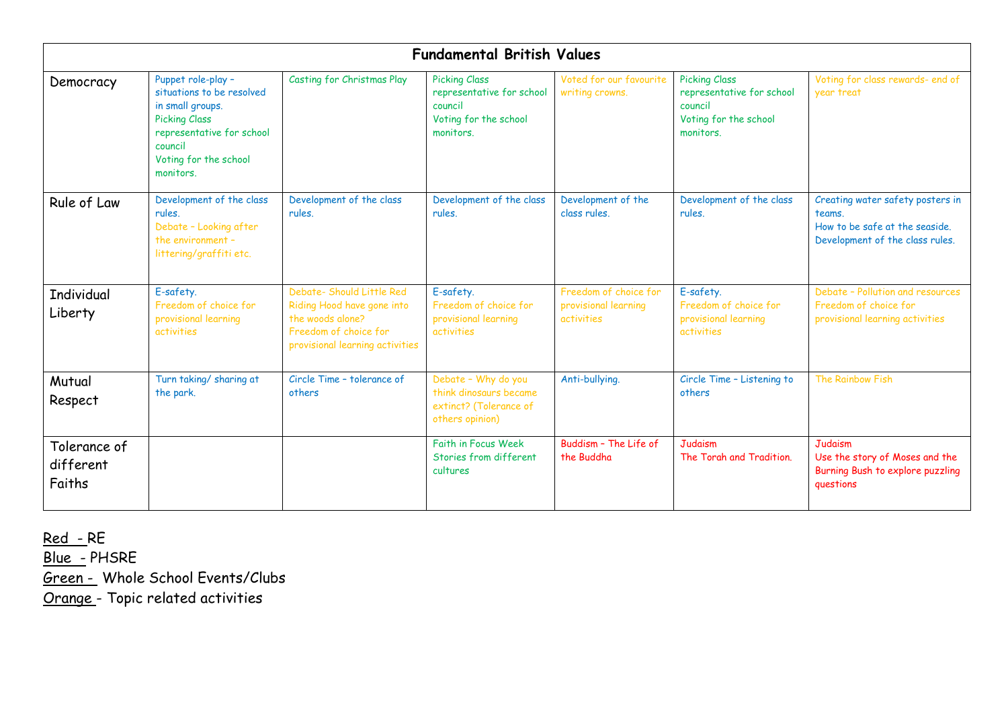|                                     |                                                                                                                                                                           |                                                                                                                                         | <b>Fundamental British Values</b>                                                                  |                                                             |                                                                                                    |                                                                                                                 |
|-------------------------------------|---------------------------------------------------------------------------------------------------------------------------------------------------------------------------|-----------------------------------------------------------------------------------------------------------------------------------------|----------------------------------------------------------------------------------------------------|-------------------------------------------------------------|----------------------------------------------------------------------------------------------------|-----------------------------------------------------------------------------------------------------------------|
| Democracy                           | Puppet role-play -<br>situations to be resolved<br>in small groups.<br><b>Picking Class</b><br>representative for school<br>council<br>Voting for the school<br>monitors. | Casting for Christmas Play                                                                                                              | <b>Picking Class</b><br>representative for school<br>council<br>Voting for the school<br>monitors. | Voted for our favourite<br>writing crowns.                  | <b>Picking Class</b><br>representative for school<br>council<br>Voting for the school<br>monitors. | Voting for class rewards- end of<br>year treat                                                                  |
| Rule of Law                         | Development of the class<br>rules.<br>Debate - Looking after<br>the environment -<br>littering/graffiti etc.                                                              | Development of the class<br>rules.                                                                                                      | Development of the class<br>rules.                                                                 | Development of the<br>class rules.                          | Development of the class<br>rules.                                                                 | Creating water safety posters in<br>teams.<br>How to be safe at the seaside.<br>Development of the class rules. |
| <b>Individual</b><br>Liberty        | E-safety.<br>Freedom of choice for<br>provisional learning<br>activities                                                                                                  | Debate- Should Little Red<br>Riding Hood have gone into<br>the woods alone?<br>Freedom of choice for<br>provisional learning activities | E-safety.<br>Freedom of choice for<br>provisional learning<br>activities                           | Freedom of choice for<br>provisional learning<br>activities | E-safety.<br>Freedom of choice for<br>provisional learning<br>activities                           | Debate - Pollution and resources<br>Freedom of choice for<br>provisional learning activities                    |
| Mutual<br>Respect                   | Turn taking/ sharing at<br>the park.                                                                                                                                      | Circle Time - tolerance of<br>others                                                                                                    | Debate - Why do you<br>think dinosaurs became<br>extinct? (Tolerance of<br>others opinion)         | Anti-bullying.                                              | Circle Time - Listening to<br>others                                                               | The Rainbow Fish                                                                                                |
| Tolerance of<br>different<br>Faiths |                                                                                                                                                                           |                                                                                                                                         | <b>Faith in Focus Week</b><br>Stories from different<br>cultures                                   | Buddism - The Life of<br>the Buddha                         | <b>Judaism</b><br>The Torah and Tradition.                                                         | Judaism<br>Use the story of Moses and the<br>Burning Bush to explore puzzling<br>questions                      |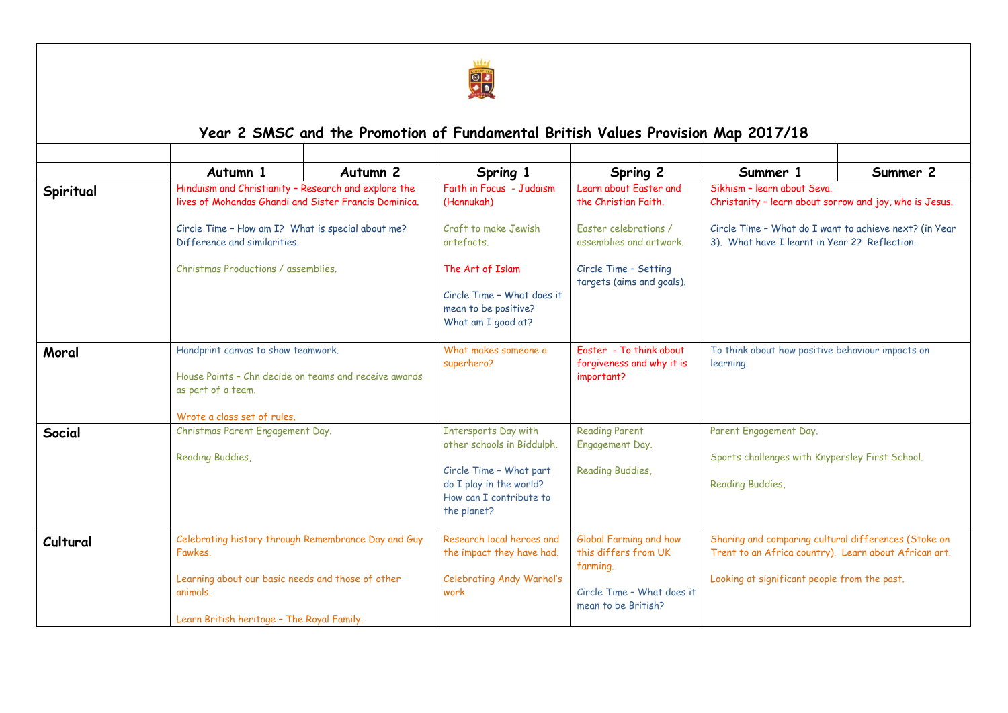

## **Year 2 SMSC and the Promotion of Fundamental British Values Provision Map 2017/18**

|           | Autumn 1                                                                                                          | Autumn <sub>2</sub>                                                                                                                                                                                | Spring 1                                                                                                                                                  | Spring 2                                                                                                                | Summer 1                                                                                                                                                      | Summer 2                                                |  |
|-----------|-------------------------------------------------------------------------------------------------------------------|----------------------------------------------------------------------------------------------------------------------------------------------------------------------------------------------------|-----------------------------------------------------------------------------------------------------------------------------------------------------------|-------------------------------------------------------------------------------------------------------------------------|---------------------------------------------------------------------------------------------------------------------------------------------------------------|---------------------------------------------------------|--|
| Spiritual |                                                                                                                   | Hinduism and Christianity - Research and explore the<br>lives of Mohandas Ghandi and Sister Francis Dominica.<br>Circle Time - How am I? What is special about me?<br>Difference and similarities. |                                                                                                                                                           | Faith in Focus - Judaism<br>Learn about Faster and<br>Sikhism - learn about Seva.<br>the Christian Faith.<br>(Hannukah) |                                                                                                                                                               | Christanity - learn about sorrow and joy, who is Jesus. |  |
|           |                                                                                                                   |                                                                                                                                                                                                    |                                                                                                                                                           | Faster celebrations /<br>assemblies and artwork.                                                                        | Circle Time - What do I want to achieve next? (in Year<br>3). What have I learnt in Year 2? Reflection.                                                       |                                                         |  |
|           | Christmas Productions / assemblies.                                                                               |                                                                                                                                                                                                    | The Art of Islam<br>Circle Time - What does it<br>mean to be positive?<br>What am I good at?                                                              |                                                                                                                         | Circle Time - Setting<br>targets (aims and goals).                                                                                                            |                                                         |  |
| Moral     | Handprint canvas to show teamwork.<br>House Points - Chn decide on teams and receive awards<br>as part of a team. |                                                                                                                                                                                                    | Faster - To think about<br>What makes someone a                                                                                                           |                                                                                                                         | To think about how positive behaviour impacts on                                                                                                              |                                                         |  |
|           |                                                                                                                   |                                                                                                                                                                                                    | superhero?                                                                                                                                                | forgiveness and why it is<br>important?                                                                                 | learning.                                                                                                                                                     |                                                         |  |
| Social    | Wrote a class set of rules.<br>Christmas Parent Engagement Day.<br>Reading Buddies,                               |                                                                                                                                                                                                    | <b>Intersports Day with</b><br>other schools in Biddulph.<br>Circle Time - What part<br>do I play in the world?<br>How can I contribute to<br>the planet? | <b>Reading Parent</b><br>Engagement Day.<br>Reading Buddies,                                                            | Parent Engagement Day.<br>Sports challenges with Knypersley First School.<br><b>Reading Buddies,</b>                                                          |                                                         |  |
| Cultural  | Fawkes.<br>animals.                                                                                               | Celebrating history through Remembrance Day and Guy<br>Learning about our basic needs and those of other<br>Learn British heritage - The Royal Family.                                             |                                                                                                                                                           | Global Farming and how<br>this differs from UK<br>farming.<br>Circle Time - What does it<br>mean to be British?         | Sharing and comparing cultural differences (Stoke on<br>Trent to an Africa country). Learn about African art.<br>Looking at significant people from the past. |                                                         |  |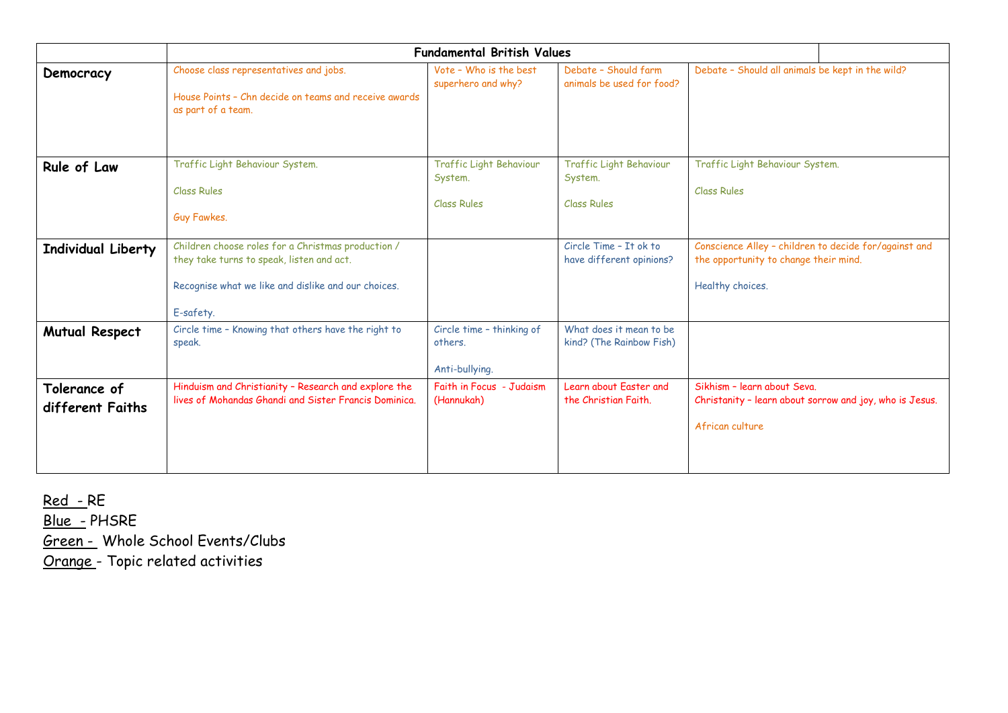|                                  | <b>Fundamental British Values</b>                                                                                                                                   |                                                          |                                                          |                                                                                                                    |  |  |  |
|----------------------------------|---------------------------------------------------------------------------------------------------------------------------------------------------------------------|----------------------------------------------------------|----------------------------------------------------------|--------------------------------------------------------------------------------------------------------------------|--|--|--|
| Democracy                        | Choose class representatives and jobs.<br>House Points - Chn decide on teams and receive awards<br>as part of a team.                                               | Vote - Who is the best<br>superhero and why?             | Debate - Should farm<br>animals be used for food?        | Debate - Should all animals be kept in the wild?                                                                   |  |  |  |
| Rule of Law                      | Traffic Light Behaviour System.<br><b>Class Rules</b><br>Guy Fawkes.                                                                                                | Traffic Light Behaviour<br>System.<br><b>Class Rules</b> | Traffic Light Behaviour<br>System.<br><b>Class Rules</b> | Traffic Light Behaviour System.<br><b>Class Rules</b>                                                              |  |  |  |
| Individual Liberty               | Children choose roles for a Christmas production /<br>they take turns to speak, listen and act.<br>Recognise what we like and dislike and our choices.<br>E-safety. |                                                          | Circle Time - It ok to<br>have different opinions?       | Conscience Alley - children to decide for/against and<br>the opportunity to change their mind.<br>Healthy choices. |  |  |  |
| <b>Mutual Respect</b>            | Circle time - Knowing that others have the right to<br>speak.                                                                                                       | Circle time - thinking of<br>others.<br>Anti-bullying.   | What does it mean to be<br>kind? (The Rainbow Fish)      |                                                                                                                    |  |  |  |
| Tolerance of<br>different Faiths | Hinduism and Christianity - Research and explore the<br>lives of Mohandas Ghandi and Sister Francis Dominica.                                                       | Faith in Focus - Judaism<br>(Hannukah)                   | Learn about Faster and<br>the Christian Faith.           | Sikhism - learn about Seva.<br>Christanity - learn about sorrow and joy, who is Jesus.<br>African culture          |  |  |  |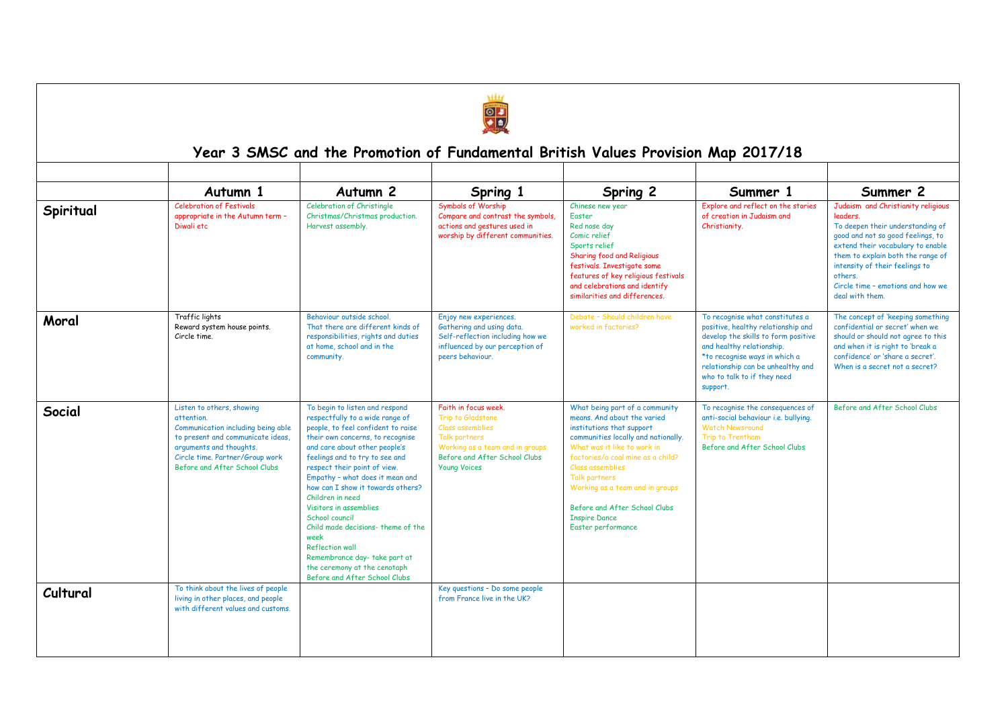

## **Year 3 SMSC and the Promotion of Fundamental British Values Provision Map 2017/18**

|           | Autumn 1                                                                                                                                                                                                          | Autumn <sub>2</sub>                                                                                                                                                                                                                                                                                                                                                                                                                                                                                                                                             | Spring 1                                                                                                                                                                  | Spring 2                                                                                                                                                                                                                                                                                                                                                     | Summer 1                                                                                                                                                                                                                                                   | Summer 2                                                                                                                                                                                                                                                                                               |
|-----------|-------------------------------------------------------------------------------------------------------------------------------------------------------------------------------------------------------------------|-----------------------------------------------------------------------------------------------------------------------------------------------------------------------------------------------------------------------------------------------------------------------------------------------------------------------------------------------------------------------------------------------------------------------------------------------------------------------------------------------------------------------------------------------------------------|---------------------------------------------------------------------------------------------------------------------------------------------------------------------------|--------------------------------------------------------------------------------------------------------------------------------------------------------------------------------------------------------------------------------------------------------------------------------------------------------------------------------------------------------------|------------------------------------------------------------------------------------------------------------------------------------------------------------------------------------------------------------------------------------------------------------|--------------------------------------------------------------------------------------------------------------------------------------------------------------------------------------------------------------------------------------------------------------------------------------------------------|
| Spiritual | <b>Celebration of Festivals</b><br>appropriate in the Autumn term -<br>Diwali etc                                                                                                                                 | Celebration of Christingle<br>Christmas/Christmas production.<br>Harvest assembly.                                                                                                                                                                                                                                                                                                                                                                                                                                                                              | Symbols of Worship<br>Compare and contrast the symbols,<br>actions and gestures used in<br>worship by different communities.                                              | Chinese new year<br>Easter<br>Red nose day<br>Comic relief<br>Sports relief<br>Sharing food and Religious<br>festivals. Investigate some<br>features of key religious festivals<br>and celebrations and identify<br>similarities and differences.                                                                                                            | Explore and reflect on the stories<br>of creation in Judaism and<br>Christianity.                                                                                                                                                                          | Judaism and Christianity religious<br>leaders.<br>To deepen their understanding of<br>good and not so good feelings, to<br>extend their vocabulary to enable<br>them to explain both the range of<br>intensity of their feelings to<br>others.<br>Circle time - emotions and how we<br>deal with them. |
| Moral     | Traffic lights<br>Reward system house points.<br>Circle time.                                                                                                                                                     | Behaviour outside school.<br>That there are different kinds of<br>responsibilities, rights and duties<br>at home, school and in the<br>community.                                                                                                                                                                                                                                                                                                                                                                                                               | Enjoy new experiences.<br>Gathering and using data.<br>Self-reflection including how we<br>influenced by our perception of<br>peers behaviour.                            | Debate - Should children have<br>worked in factories?                                                                                                                                                                                                                                                                                                        | To recognise what constitutes a<br>positive, healthy relationship and<br>develop the skills to form positive<br>and healthy relationship.<br>*to recognise ways in which a<br>relationship can be unhealthy and<br>who to talk to if they need<br>support. | The concept of 'keeping something<br>confidential or secret' when we<br>should or should not agree to this<br>and when it is right to 'break a<br>confidence' or 'share a secret'.<br>When is a secret not a secret?                                                                                   |
| Social    | Listen to others, showing<br>attention.<br>Communication including being able<br>to present and communicate ideas.<br>arguments and thoughts.<br>Circle time. Partner/Group work<br>Before and After School Clubs | To begin to listen and respond<br>respectfully to a wide range of<br>people, to feel confident to raise<br>their own concerns, to recognise<br>and care about other people's<br>feelings and to try to see and<br>respect their point of view.<br>Empathy - what does it mean and<br>how can I show it towards others?<br>Children in need<br>Visitors in assemblies<br>School council<br>Child made decisions-theme of the<br>week<br><b>Reflection wall</b><br>Remembrance day- take part at<br>the ceremony at the cenotaph<br>Before and After School Clubs | Faith in focus week.<br>Trip to Gladstone<br>Class assemblies<br>Talk partners<br>Working as a team and in groups<br>Before and After School Clubs<br><b>Young Voices</b> | What being part of a community<br>means. And about the varied<br>institutions that support<br>communities locally and nationally.<br>What was it like to work in<br>factories/a coal mine as a child?<br>Class assemblies<br>Talk partners<br>Working as a team and in groups<br>Before and After School Clubs<br><b>Inspire Dance</b><br>Easter performance | To recognise the consequences of<br>anti-social behaviour i.e. bullying.<br><b>Watch Newsround</b><br>Trip to Trentham<br>Before and After School Clubs                                                                                                    | Before and After School Clubs                                                                                                                                                                                                                                                                          |
| Cultural  | To think about the lives of people<br>living in other places, and people<br>with different values and customs.                                                                                                    |                                                                                                                                                                                                                                                                                                                                                                                                                                                                                                                                                                 | Key questions - Do some people<br>from France live in the UK?                                                                                                             |                                                                                                                                                                                                                                                                                                                                                              |                                                                                                                                                                                                                                                            |                                                                                                                                                                                                                                                                                                        |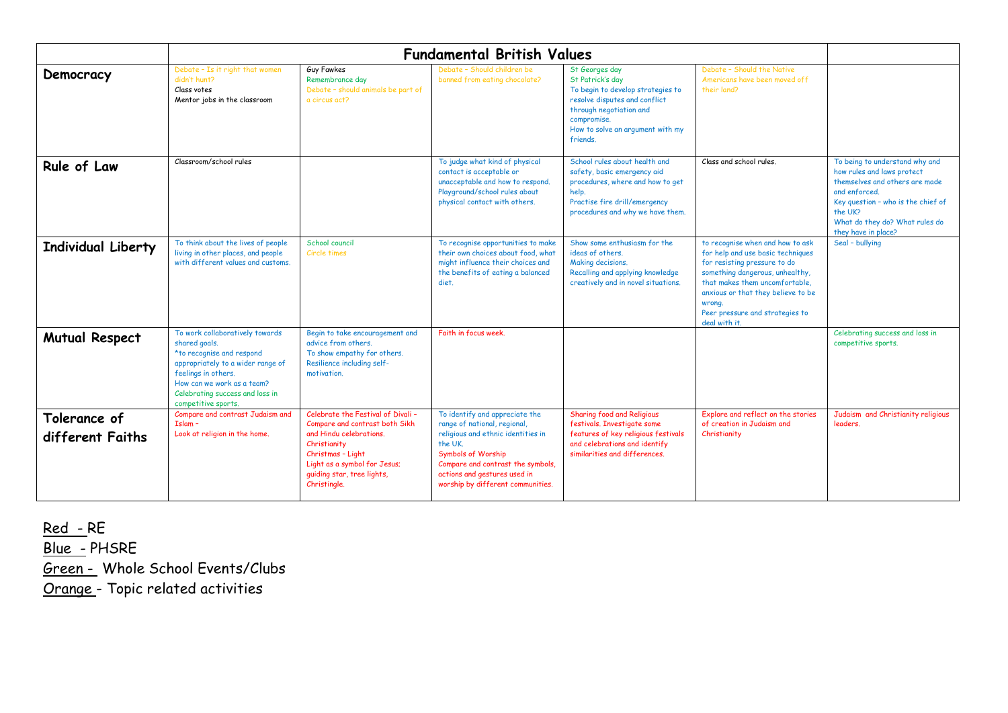| Democracy                        | Debate - Is it right that women<br>didn't hunt?<br>Class votes<br>Mentor jobs in the classroom                                                                                                                                    | <b>Guy Fawkes</b><br>Remembrance day<br>Debate - should animals be part of<br>a circus act?                                                                                                                        | Debate - Should children be<br>banned from eating chocolate?                                                                                                                                                                                          | St Georges day<br>St Patrick's day<br>To begin to develop strategies to<br>resolve disputes and conflict<br>through negotiation and<br>compromise.<br>How to solve an argument with my<br>friends. | Debate - Should the Native<br>Americans have been moved off<br>their land?                                                                                                                                                                                                     |                                                                                                                                                                                                                           |
|----------------------------------|-----------------------------------------------------------------------------------------------------------------------------------------------------------------------------------------------------------------------------------|--------------------------------------------------------------------------------------------------------------------------------------------------------------------------------------------------------------------|-------------------------------------------------------------------------------------------------------------------------------------------------------------------------------------------------------------------------------------------------------|----------------------------------------------------------------------------------------------------------------------------------------------------------------------------------------------------|--------------------------------------------------------------------------------------------------------------------------------------------------------------------------------------------------------------------------------------------------------------------------------|---------------------------------------------------------------------------------------------------------------------------------------------------------------------------------------------------------------------------|
| Rule of Law                      | Classroom/school rules                                                                                                                                                                                                            |                                                                                                                                                                                                                    | To judge what kind of physical<br>contact is acceptable or<br>unacceptable and how to respond.<br>Playground/school rules about<br>physical contact with others.                                                                                      | School rules about health and<br>safety, basic emergency aid<br>procedures, where and how to get<br>help.<br>Practise fire drill/emergency<br>procedures and why we have them.                     | Class and school rules.                                                                                                                                                                                                                                                        | To being to understand why and<br>how rules and laws protect<br>themselves and others are made<br>and enforced.<br>Key question - who is the chief of<br>the UK?<br>What do they do? What rules do<br>they have in place? |
| <b>Individual Liberty</b>        | To think about the lives of people<br>living in other places, and people<br>with different values and customs.                                                                                                                    | School council<br>Circle times                                                                                                                                                                                     | To recognise opportunities to make<br>their own choices about food, what<br>might influence their choices and<br>the benefits of eating a balanced<br>diet.                                                                                           | Show some enthusiasm for the<br>ideas of others.<br>Making decisions.<br>Recalling and applying knowledge<br>creatively and in novel situations.                                                   | to recognise when and how to ask<br>for help and use basic techniques<br>for resisting pressure to do<br>something dangerous, unhealthy,<br>that makes them uncomfortable,<br>anxious or that they believe to be<br>wrona.<br>Peer pressure and strategies to<br>deal with it. | Seal - bullying                                                                                                                                                                                                           |
| <b>Mutual Respect</b>            | To work collaboratively towards<br>shared goals.<br>*to recognise and respond<br>appropriately to a wider range of<br>feelings in others.<br>How can we work as a team?<br>Celebrating success and loss in<br>competitive sports. | Begin to take encouragement and<br>advice from others.<br>To show empathy for others.<br>Resilience including self-<br>motivation.                                                                                 | Faith in focus week.                                                                                                                                                                                                                                  |                                                                                                                                                                                                    |                                                                                                                                                                                                                                                                                | Celebrating success and loss in<br>competitive sports.                                                                                                                                                                    |
| Tolerance of<br>different Faiths | Compare and contrast Judaism and<br>$Islam -$<br>Look at religion in the home.                                                                                                                                                    | Celebrate the Festival of Divali -<br>Compare and contrast both Sikh<br>and Hindu celebrations.<br>Christianity<br>Christmas - Light<br>Light as a symbol for Jesus;<br>quiding star, tree lights,<br>Christingle. | To identify and appreciate the<br>range of national, regional,<br>religious and ethnic identities in<br>the UK<br><b>Symbols of Worship</b><br>Compare and contrast the symbols,<br>actions and gestures used in<br>worship by different communities. | Sharing food and Religious<br>festivals. Investigate some<br>features of key religious festivals<br>and celebrations and identify<br>similarities and differences.                                 | Explore and reflect on the stories<br>of creation in Judaism and<br>Christianity                                                                                                                                                                                               | Judaism and Christianity religious<br>leaders.                                                                                                                                                                            |

Red - RE

Blue - PHSRE Green - Whole School Events/Clubs

Orange - Topic related activities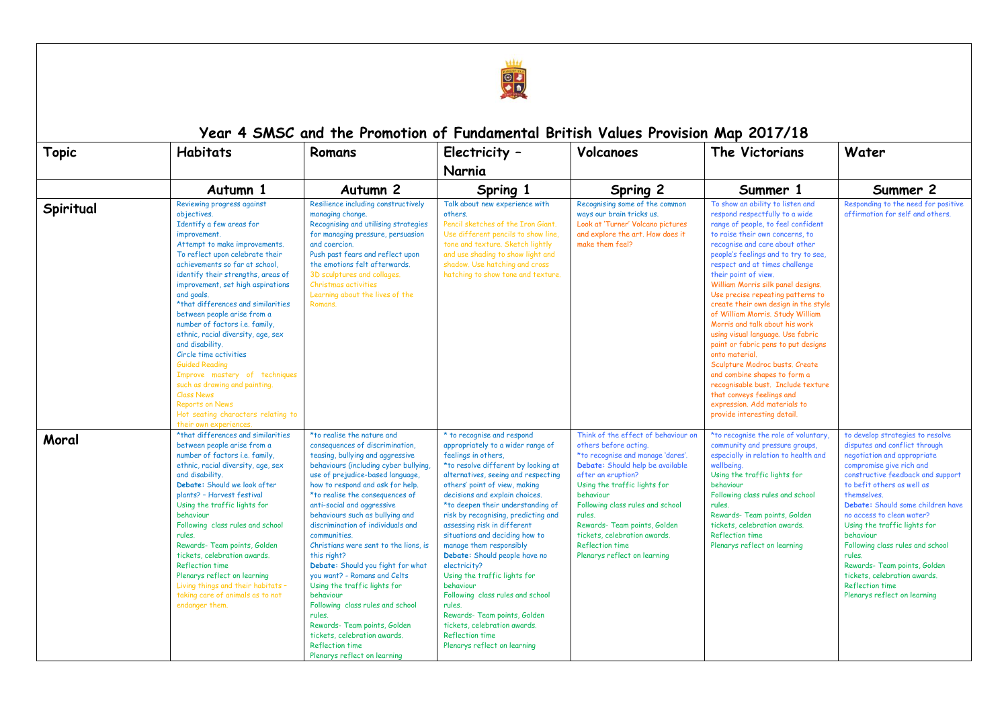

## **Year 4 SMSC and the Promotion of Fundamental British Values Provision Map 2017/18**

| <b>Topic</b> | <b>Habitats</b>                                                                                                                                                                                                                                                                                                                                                                                                                                                                                                                                                                                                                                                                         | Romans                                                                                                                                                                                                                                                                                                                                                                                                                                                                                                                                                                                                                                                                                                                       | Electricity -                                                                                                                                                                                                                                                                                                                                                                                                                                                                                                                                                                                                                                                                  | Volcanoes                                                                                                                                                                                                                                                                                                                                                                        | The Victorians                                                                                                                                                                                                                                                                                                                                                                                                                                                                                                                                                                                                                                                                                                                                                             | Water                                                                                                                                                                                                                                                                                                                                                                                                                                                                                                 |
|--------------|-----------------------------------------------------------------------------------------------------------------------------------------------------------------------------------------------------------------------------------------------------------------------------------------------------------------------------------------------------------------------------------------------------------------------------------------------------------------------------------------------------------------------------------------------------------------------------------------------------------------------------------------------------------------------------------------|------------------------------------------------------------------------------------------------------------------------------------------------------------------------------------------------------------------------------------------------------------------------------------------------------------------------------------------------------------------------------------------------------------------------------------------------------------------------------------------------------------------------------------------------------------------------------------------------------------------------------------------------------------------------------------------------------------------------------|--------------------------------------------------------------------------------------------------------------------------------------------------------------------------------------------------------------------------------------------------------------------------------------------------------------------------------------------------------------------------------------------------------------------------------------------------------------------------------------------------------------------------------------------------------------------------------------------------------------------------------------------------------------------------------|----------------------------------------------------------------------------------------------------------------------------------------------------------------------------------------------------------------------------------------------------------------------------------------------------------------------------------------------------------------------------------|----------------------------------------------------------------------------------------------------------------------------------------------------------------------------------------------------------------------------------------------------------------------------------------------------------------------------------------------------------------------------------------------------------------------------------------------------------------------------------------------------------------------------------------------------------------------------------------------------------------------------------------------------------------------------------------------------------------------------------------------------------------------------|-------------------------------------------------------------------------------------------------------------------------------------------------------------------------------------------------------------------------------------------------------------------------------------------------------------------------------------------------------------------------------------------------------------------------------------------------------------------------------------------------------|
|              |                                                                                                                                                                                                                                                                                                                                                                                                                                                                                                                                                                                                                                                                                         |                                                                                                                                                                                                                                                                                                                                                                                                                                                                                                                                                                                                                                                                                                                              | Narnia                                                                                                                                                                                                                                                                                                                                                                                                                                                                                                                                                                                                                                                                         |                                                                                                                                                                                                                                                                                                                                                                                  |                                                                                                                                                                                                                                                                                                                                                                                                                                                                                                                                                                                                                                                                                                                                                                            |                                                                                                                                                                                                                                                                                                                                                                                                                                                                                                       |
|              | Autumn 1                                                                                                                                                                                                                                                                                                                                                                                                                                                                                                                                                                                                                                                                                | Autumn <sub>2</sub>                                                                                                                                                                                                                                                                                                                                                                                                                                                                                                                                                                                                                                                                                                          | Spring 1                                                                                                                                                                                                                                                                                                                                                                                                                                                                                                                                                                                                                                                                       | Spring 2                                                                                                                                                                                                                                                                                                                                                                         | Summer 1                                                                                                                                                                                                                                                                                                                                                                                                                                                                                                                                                                                                                                                                                                                                                                   | Summer 2                                                                                                                                                                                                                                                                                                                                                                                                                                                                                              |
| Spiritual    | Reviewing progress against<br>objectives.<br>Identify a few areas for<br>improvement.<br>Attempt to make improvements.<br>To reflect upon celebrate their<br>achievements so far at school,<br>identify their strengths, areas of<br>improvement, set high aspirations<br>and goals.<br>*that differences and similarities<br>between people arise from a<br>number of factors i.e. family,<br>ethnic, racial diversity, age, sex<br>and disability.<br>Circle time activities<br><b>Guided Reading</b><br>Improve mastery of techniques<br>such as drawing and painting.<br><b>Class News</b><br><b>Reports on News</b><br>Hot seating characters relating to<br>their own experiences | Resilience including constructively<br>managing change.<br>Recognising and utilising strategies<br>for managing pressure, persuasion<br>and coercion.<br>Push past fears and reflect upon<br>the emotions felt afterwards.<br>3D sculptures and collages.<br>Christmas activities<br>Learning about the lives of the<br>Romans.                                                                                                                                                                                                                                                                                                                                                                                              | Talk about new experience with<br>others.<br>Pencil sketches of the Iron Giant.<br>Use different pencils to show line.<br>tone and texture. Sketch lightly<br>and use shading to show light and<br>shadow. Use hatching and cross<br>hatching to show tone and texture.                                                                                                                                                                                                                                                                                                                                                                                                        | Recognising some of the common<br>ways our brain tricks us.<br>Look at 'Turner' Volcano pictures<br>and explore the art. How does it<br>make them feel?                                                                                                                                                                                                                          | To show an ability to listen and<br>respond respectfully to a wide<br>range of people, to feel confident<br>to raise their own concerns, to<br>recognise and care about other<br>people's feelings and to try to see,<br>respect and at times challenge<br>their point of view.<br>William Morris silk panel designs.<br>Use precise repeating patterns to<br>create their own design in the style<br>of William Morris, Study William<br>Morris and talk about his work<br>using visual language. Use fabric<br>paint or fabric pens to put designs<br>onto material.<br>Sculpture Modroc busts. Create<br>and combine shapes to form a<br>recognisable bust. Include texture<br>that conveys feelings and<br>expression. Add materials to<br>provide interesting detail. | Responding to the need for positive<br>affirmation for self and others.                                                                                                                                                                                                                                                                                                                                                                                                                               |
| Moral        | *that differences and similarities<br>between people arise from a<br>number of factors i.e. family,<br>ethnic, racial diversity, age, sex<br>and disability.<br>Debate: Should we look after<br>plants? - Harvest festival<br>Using the traffic lights for<br>behaviour<br>Following class rules and school<br>rules.<br>Rewards- Team points, Golden<br>tickets, celebration awards.<br><b>Reflection time</b><br>Plenarys reflect on learning<br>Living things and their habitats -<br>taking care of animals as to not<br>endanger them.                                                                                                                                             | *to realise the nature and<br>consequences of discrimination,<br>teasing, bullying and aggressive<br>behaviours (including cyber bullying,<br>use of prejudice-based language,<br>how to respond and ask for help.<br>*to realise the consequences of<br>anti-social and aggressive<br>behaviours such as bullying and<br>discrimination of individuals and<br>communities.<br>Christians were sent to the lions, is<br>this right?<br>Debate: Should you fight for what<br>you want? - Romans and Celts<br>Using the traffic lights for<br>behaviour<br>Following class rules and school<br>rules.<br>Rewards-Team points, Golden<br>tickets, celebration awards.<br><b>Reflection time</b><br>Plenarys reflect on learning | * to recognise and respond<br>appropriately to a wider range of<br>feelings in others.<br>*to resolve different by looking at<br>alternatives, seeing and respecting<br>others' point of view, making<br>decisions and explain choices.<br>*to deepen their understanding of<br>risk by recognising, predicting and<br>assessing risk in different<br>situations and deciding how to<br>manage them responsibly<br>Debate: Should people have no<br>electricity?<br>Using the traffic lights for<br>behaviour<br>Following class rules and school<br>rules.<br>Rewards- Team points, Golden<br>tickets, celebration awards.<br>Reflection time<br>Plenarys reflect on learning | Think of the effect of behaviour on<br>others before acting.<br>*to recognise and manage 'dares'.<br>Debate: Should help be available<br>after an eruption?<br>Using the traffic lights for<br>behaviour<br>Following class rules and school<br>rules.<br>Rewards- Team points, Golden<br>tickets, celebration awards,<br><b>Reflection time</b><br>Plenarys reflect on learning | *to recognise the role of voluntary<br>community and pressure groups,<br>especially in relation to health and<br>wellbeing.<br>Using the traffic lights for<br>behaviour<br>Following class rules and school<br>rules.<br>Rewards- Team points, Golden<br>tickets, celebration awards,<br><b>Reflection time</b><br>Plenarys reflect on learning                                                                                                                                                                                                                                                                                                                                                                                                                           | to develop strategies to resolve<br>disputes and conflict through<br>negotiation and appropriate<br>compromise give rich and<br>constructive feedback and support<br>to befit others as well as<br>themselves.<br>Debate: Should some children have<br>no access to clean water?<br>Using the traffic lights for<br>behaviour<br>Following class rules and school<br>rules.<br>Rewards- Team points, Golden<br>tickets, celebration awards.<br><b>Reflection time</b><br>Plenarys reflect on learning |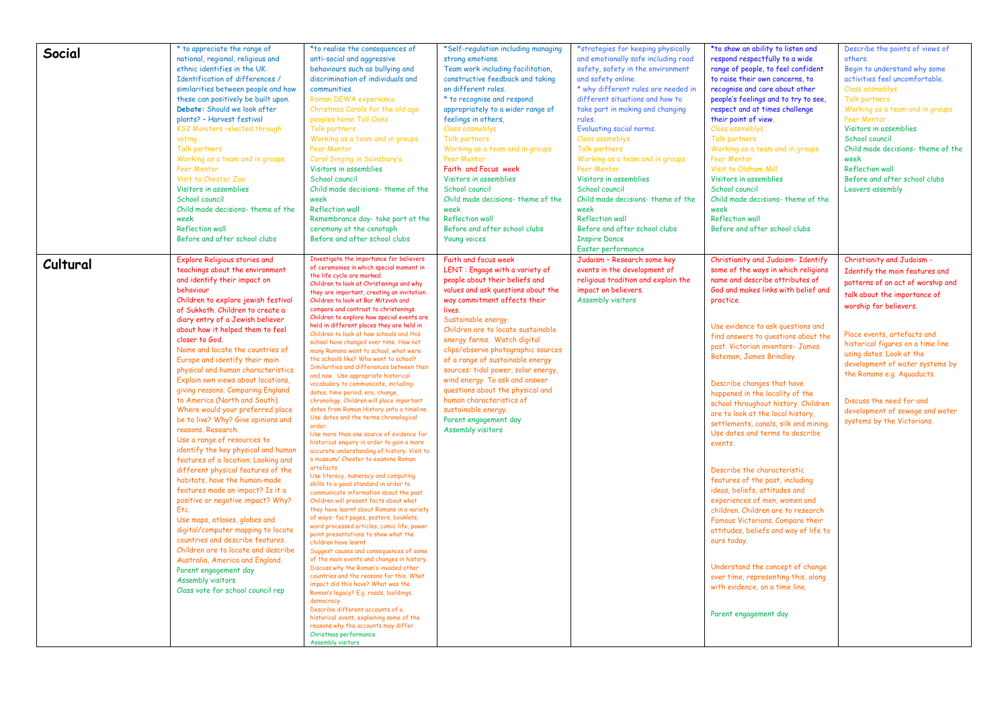|          | * to appreciate the range of         | *to realise the consequences of                                                         | *Self-regulation including managing                     | *strategies for keeping physically                      | *to show an ability to listen and                       | Describe the points of views of   |
|----------|--------------------------------------|-----------------------------------------------------------------------------------------|---------------------------------------------------------|---------------------------------------------------------|---------------------------------------------------------|-----------------------------------|
| Social   | national, regional, religious and    | anti-social and aggressive                                                              | strong emotions.                                        | and emotionally safe including road                     | respond respectfully to a wide                          | others.                           |
|          | ethnic identifies in the UK.         | behaviours such as bullying and                                                         | Team work including facilitation,                       | safety, safety in the environment                       | range of people, to feel confident                      | Begin to understand why some      |
|          | Identification of differences /      | discrimination of individuals and                                                       | constructive feedback and taking                        | and safety online.                                      | to raise their own concerns, to                         | activities feel uncomfortable.    |
|          | similarities between people and how  | communities.                                                                            | on different roles.                                     | * why different rules are needed in                     | recognise and care about other                          | Class assmeblys                   |
|          | these can positively be built upon.  | Roman DEWA experience.                                                                  | * to recognise and respond                              | different situations and how to                         | people's feelings and to try to see,                    | Talk partners                     |
|          | Debate: Should we look after         | Christmas Carols for the old age                                                        | appropriately to a wider range of                       | take part in making and changing                        | respect and at times challenge                          | Working as a team and in groups   |
|          | plants? - Harvest festival           | peoples home Tall Oaks                                                                  | feelings in others,                                     | rules.                                                  | their point of view.                                    | Peer Mentor                       |
|          | KS2 Monitors-elected through         | Talk partners                                                                           | Class assmeblys                                         | Evaluating social norms.                                | Class assmeblys                                         | Visitors in assemblies            |
|          | voting                               | Working as a team and in groups                                                         | Talk partners                                           | Class assmeblys                                         | Talk partners                                           | School council                    |
|          | Talk partners                        | Peer Mentor                                                                             | Working as a team and in groups                         | Talk partners                                           | Working as a team and in groups                         | Child made decisions-theme of the |
|          | Working as a team and in groups      | Carol Singing in Sainsbury's.                                                           | Peer Mentor                                             | Working as a team and in groups                         | Peer Mentor                                             | week                              |
|          | Peer Mentor                          | Visitors in assemblies                                                                  | Faith and Focus week                                    | Peer Mentor                                             | Visit to Oldham Mill                                    | <b>Reflection wall</b>            |
|          | Visit to Chester Zoo                 | School council                                                                          | Visitors in assemblies                                  | Visitors in assemblies                                  | Visitors in assemblies                                  | Before and after school clubs     |
|          | Visitors in assemblies               | Child made decisions-theme of the                                                       | School council                                          | School council                                          | School council                                          | Leavers assembly                  |
|          | School council                       | week                                                                                    | Child made decisions-theme of the                       | Child made decisions- theme of the                      | Child made decisions-theme of the                       |                                   |
|          | Child made decisions- theme of the   | <b>Reflection wall</b>                                                                  | week                                                    | week                                                    | week                                                    |                                   |
|          |                                      |                                                                                         |                                                         |                                                         |                                                         |                                   |
|          | week<br><b>Reflection wall</b>       | Remembrance day-take part at the                                                        | <b>Reflection wall</b><br>Before and after school clubs | <b>Reflection wall</b><br>Before and after school clubs | <b>Reflection wall</b><br>Before and after school clubs |                                   |
|          |                                      | ceremony at the cenotaph                                                                |                                                         |                                                         |                                                         |                                   |
|          | Before and after school clubs        | Before and after school clubs                                                           | <b>Young voices</b>                                     | <b>Inspire Dance</b>                                    |                                                         |                                   |
|          |                                      |                                                                                         |                                                         | Easter performance                                      |                                                         |                                   |
| Cultural | <b>Explore Religious stories and</b> | Investigate the importance for believers<br>of ceremonies in which special moment in    | Faith and focus week                                    | Judaism - Research some key                             | Christianity and Judaism- Identify                      | Christianity and Judaism -        |
|          | teachings about the environment      | the life cycle are marked.                                                              | LENT: Engage with a variety of                          | events in the development of                            | some of the ways in which religions                     | Identify the main features and    |
|          | and identify their impact on         | Children to look at Christenings and why                                                | people about their beliefs and                          | religious tradition and explain the                     | name and describe attributes of                         | patterns of an act of worship and |
|          | behaviour                            | they are important, creating an invitation.                                             | values and ask questions about the                      | impact on believers.                                    | God and makes links with belief and                     | talk about the importance of      |
|          | Children to explore jewish festival  | Children to look at Bar Mitzvah and                                                     | way commitment affects their                            | Assembly visitors                                       | practice.                                               | worship for believers.            |
|          | of Sukkoth. Children to create a     | compare and contrast to christenings.                                                   | lives.                                                  |                                                         |                                                         |                                   |
|          | diary entry of a Jewish believer     | Children to explore how special events are<br>held in different places they are held in | Sustainable energy.                                     |                                                         |                                                         |                                   |
|          | about how it helped them to feel     | Children to look at how schools and this                                                | Children are to locate sustainable                      |                                                         | Use evidence to ask questions and                       | Place events, artefacts and       |
|          | closer to God.                       | school have changed over time. How not                                                  | energy farms. Watch digital                             |                                                         | find answers to questions about the                     | historical figures on a time line |
|          | Name and locate the countries of     | many Romans went to school, what were                                                   | clips/observe photographic sources                      |                                                         | past. Victorian inventors- James                        | using dates. Look at the          |
|          | Europe and identify their main       | the schools like? Who went to school?                                                   | of a range of sustainable energy                        |                                                         | Bateman, James Brindley.                                | development of water systems by   |
|          | physical and human characteristics.  | Similarities and differences between then<br>and now. Use appropriate historical        | sources: tidal power, solar energy,                     |                                                         |                                                         | the Romans e.g. Aguaducts.        |
|          | Explain own views about locations,   | vocabulary to communicate, including:                                                   | wind energy. To ask and answer                          |                                                         | Describe changes that have                              |                                   |
|          | giving reasons. Comparing England    | dates, time period, era, change,                                                        | questions about the physical and                        |                                                         | happened in the locality of the                         |                                   |
|          | to America (North and South).        | chronology. Children will place important                                               | human characteristics of                                |                                                         | school throughout history. Children                     | Discuss the need for and          |
|          | Where would your preferred place     | dates from Roman History onto a timeline.                                               | sustainable energy.                                     |                                                         | are to look at the local history,                       | development of sewage and water   |
|          | be to live? Why? Give opinions and   | Use dates and the terms chronological                                                   | Parent engagement day                                   |                                                         | settlements, canals, silk and mining.                   | systems by the Victorians.        |
|          | reasons, Research.                   | order.<br>Use more than one source of evidence for                                      | Assembly visitors                                       |                                                         | Use dates and terms to describe                         |                                   |
|          | Use a range of resources to          | historical enquiry in order to gain a more                                              |                                                         |                                                         | events.                                                 |                                   |
|          | identify the key physical and human  | accurate understanding of history. Visit to                                             |                                                         |                                                         |                                                         |                                   |
|          | features of a location. Looking and  | a museum/ Chester to examine Roman                                                      |                                                         |                                                         |                                                         |                                   |
|          | different physical features of the   | artefacts.                                                                              |                                                         |                                                         | Describe the characteristic                             |                                   |
|          | habitats, have the human-made        | Use literacy, numeracy and computing<br>skills to a good standard in order to           |                                                         |                                                         | features of the past, including                         |                                   |
|          | features made an impact? Is it a     | communicate information about the past.                                                 |                                                         |                                                         | ideas, beliefs, attitudes and                           |                                   |
|          | positive or negative impact? Why?    | Children will present facts about what                                                  |                                                         |                                                         | experiences of men, women and                           |                                   |
|          | Etc.                                 | they have learnt about Romans in a variety                                              |                                                         |                                                         | children, Children are to research                      |                                   |
|          | Use maps, atlases, globes and        | of ways- fact pages, posters, booklets,                                                 |                                                         |                                                         | Famous Victorians, Compare their                        |                                   |
|          | digital/computer mapping to locate   | word processed articles, comic life, power<br>point presentations to show what the      |                                                         |                                                         | attitudes, beliefs and way of life to                   |                                   |
|          | countries and describe features.     | children have learnt                                                                    |                                                         |                                                         | ours today.                                             |                                   |
|          | Children are to locate and describe  | Suggest causes and consequences of some                                                 |                                                         |                                                         |                                                         |                                   |
|          | Australia, America and England.      | of the main events and changes in history.                                              |                                                         |                                                         |                                                         |                                   |
|          | Parent engagement day                | Discuss why the Roman's invaded other                                                   |                                                         |                                                         | Understand the concept of change                        |                                   |
|          | Assembly visitors                    | countries and the reasons for this. What                                                |                                                         |                                                         | over time, representing this, along                     |                                   |
|          | Class vote for school council rep    | impact did this have? What was the<br>Roman's legacy? E.g. roads, buildings,            |                                                         |                                                         | with evidence, on a time line.                          |                                   |
|          |                                      | democracy.                                                                              |                                                         |                                                         |                                                         |                                   |
|          |                                      | Describe different accounts of a                                                        |                                                         |                                                         |                                                         |                                   |
|          |                                      | historical event, explaining some of the                                                |                                                         |                                                         | Parent engagement day                                   |                                   |
|          |                                      | reasons why the accounts may differ.                                                    |                                                         |                                                         |                                                         |                                   |
|          |                                      | Christmas performance                                                                   |                                                         |                                                         |                                                         |                                   |
|          |                                      | Assembly visitors                                                                       |                                                         |                                                         |                                                         |                                   |